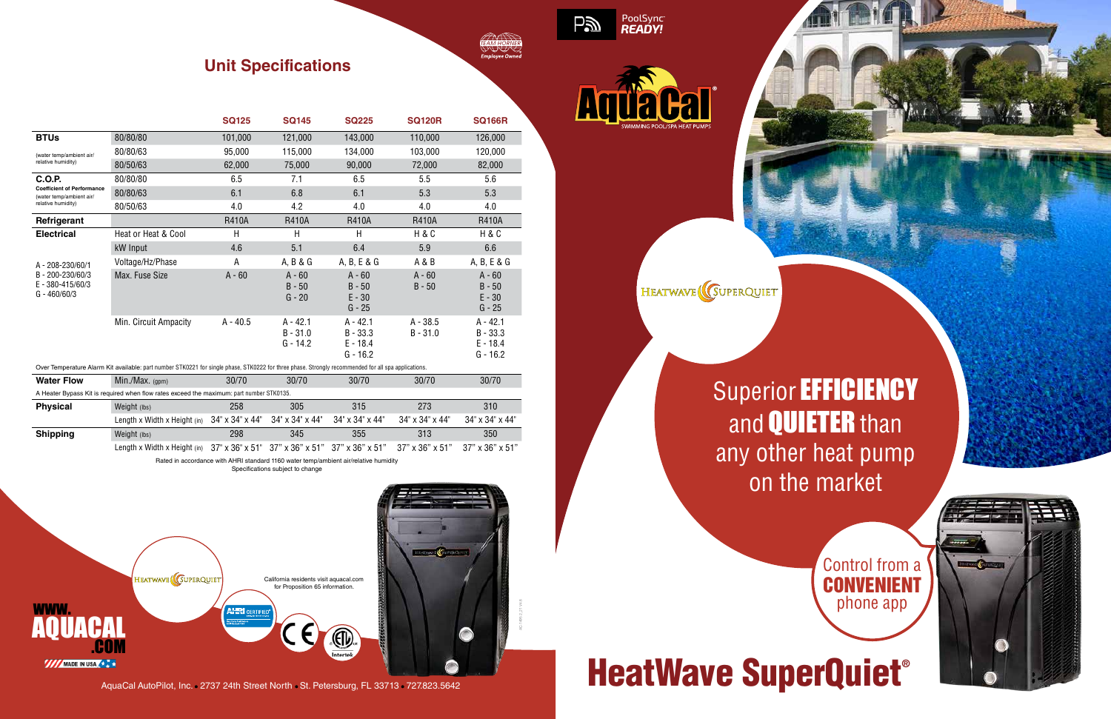## **Superior EFFICIENCY** and **QUIETER** than any other heat pump on the market

# HeatWave SuperQuiet®

### **Unit Specifications**

| <b>TEAM HORNER</b>    |  |
|-----------------------|--|
|                       |  |
|                       |  |
| <b>Employee Owned</b> |  |
|                       |  |

|                                                                                     |                       | <b>SQ125</b> | <b>SQ145</b>                           | <b>SQ225</b>                                         | <b>SQ120R</b>            | <b>SQ166R</b>                                        |
|-------------------------------------------------------------------------------------|-----------------------|--------------|----------------------------------------|------------------------------------------------------|--------------------------|------------------------------------------------------|
| <b>BTUs</b>                                                                         | 80/80/80              | 101,000      | 121,000                                | 143,000                                              | 110,000                  | 126,000                                              |
| (water temp/ambient air/<br>relative humidity)                                      | 80/80/63              | 95,000       | 115,000                                | 134,000                                              | 103,000                  | 120,000                                              |
|                                                                                     | 80/50/63              | 62,000       | 75,000                                 | 90,000                                               | 72,000                   | 82,000                                               |
| <b>C.O.P.</b>                                                                       | 80/80/80              | 6.5          | 7.1                                    | 6.5                                                  | 5.5                      | 5.6                                                  |
| <b>Coefficient of Performance</b><br>(water temp/ambient air/<br>relative humidity) | 80/80/63              | 6.1          | 6.8                                    | 6.1                                                  | 5.3                      | 5.3                                                  |
|                                                                                     | 80/50/63              | 4.0          | 4.2                                    | 4.0                                                  | 4.0                      | 4.0                                                  |
| Refrigerant                                                                         |                       | <b>R410A</b> | <b>R410A</b>                           | <b>R410A</b>                                         | <b>R410A</b>             | <b>R410A</b>                                         |
| <b>Electrical</b>                                                                   | Heat or Heat & Cool   | H            | H                                      | Η                                                    | H & C                    | H & C                                                |
|                                                                                     | kW Input              | 4.6          | 5.1                                    | 6.4                                                  | 5.9                      | 6.6                                                  |
| A - 208-230/60/1<br>B-200-230/60/3<br>E - 380-415/60/3<br>$G - 460/60/3$            | Voltage/Hz/Phase      | Α            | A, B & G                               | A, B, E & G                                          | A & B                    | A, B, E & G                                          |
|                                                                                     | Max. Fuse Size        | $A - 60$     | $A - 60$<br>$B - 50$<br>$G - 20$       | $A - 60$<br>$B - 50$<br>$E - 30$<br>$G - 25$         | $A - 60$<br>$B - 50$     | $A - 60$<br>$B - 50$<br>$E - 30$<br>$G - 25$         |
|                                                                                     | Min. Circuit Ampacity | $A - 40.5$   | $A - 42.1$<br>$B - 31.0$<br>$G - 14.2$ | $A - 42.1$<br>$B - 33.3$<br>$E - 18.4$<br>$G - 16.2$ | $A - 38.5$<br>$B - 31.0$ | $A - 42.1$<br>$B - 33.3$<br>$E - 18.4$<br>$G - 16.2$ |

Over Temperature Alarm Kit available: part number STK0221 for single phase, STK0222 for three phase. Strongly recommended for all spa applications.

| <b>Water Flow</b> | Min./Max. $(gpm)$                                                                        | 30/70 | 30/70 | 30/70           | 30/70                       | 30/70                       |
|-------------------|------------------------------------------------------------------------------------------|-------|-------|-----------------|-----------------------------|-----------------------------|
|                   | A Heater Bypass Kit is required when flow rates exceed the maximum: part number STK0135. |       |       |                 |                             |                             |
| <b>Physical</b>   | Weight (lbs)                                                                             | 258   | 305   | 315             | 273                         | 310                         |
|                   | Length x Width x Height (in) $34" \times 34" \times 44"$ 34" x 34" x 44"                 |       |       | 34" x 34" x 44" | $34" \times 34" \times 44"$ | $34" \times 34" \times 44"$ |
| <b>Shipping</b>   | Weight (lbs)                                                                             | 298   | 345   | 355             | 313                         | 350                         |
|                   | Length x Width x Height (in) 37" x 36" x 51" 37" x 36" x 51" 37" x 36" x 51"             |       |       |                 | 37" x 36" x 51"             | $37" \times 36" \times 51"$ |

Rated in accordance with AHRI standard 1160 water temp/ambient air/relative humidity

Specifications subject to change





PoolSync<br>READY!

**Pai** 

HEATWAVE (COUPERQUIET